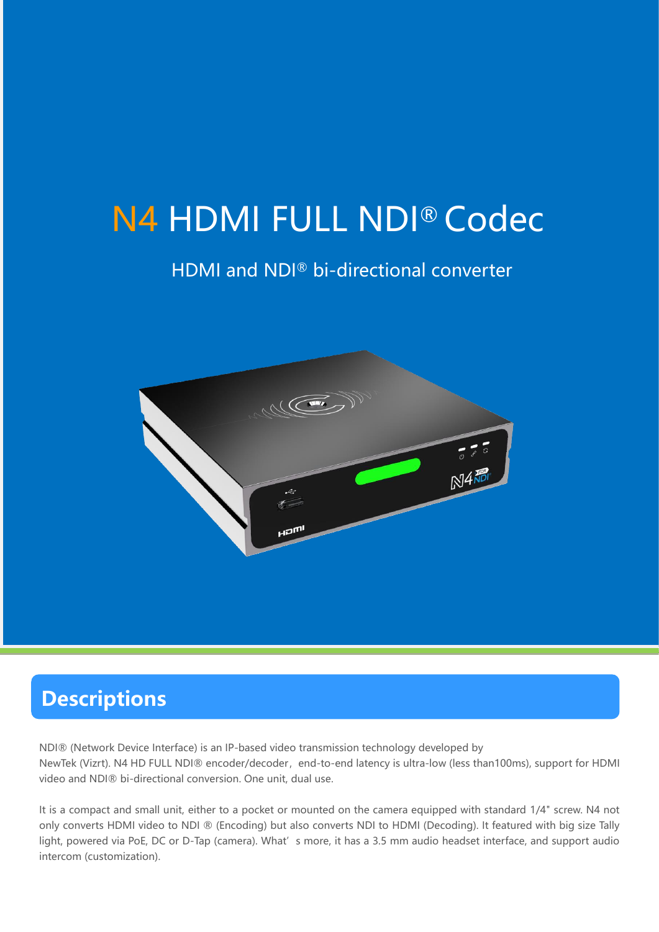# N4 HDMI FULL NDI® Codec

## HDMI and NDI® bi-directional converter



## **Descriptions**

NDI® (Network Device Interface) is an IP-based video transmission technology developed by NewTek (Vizrt). N4 HD FULL NDI® encoder/decoder, end-to-end latency is ultra-low (less than100ms), support for HDMI video and NDI® bi-directional conversion. One unit, dual use.

It is a compact and small unit, either to a pocket or mounted on the camera equipped with standard 1/4" screw. N4 not only converts HDMI video to NDI ® (Encoding) but also converts NDI to HDMI (Decoding). It featured with big size Tally light, powered via PoE, DC or D-Tap (camera). What's more, it has a 3.5 mm audio headset interface, and support audio intercom (customization).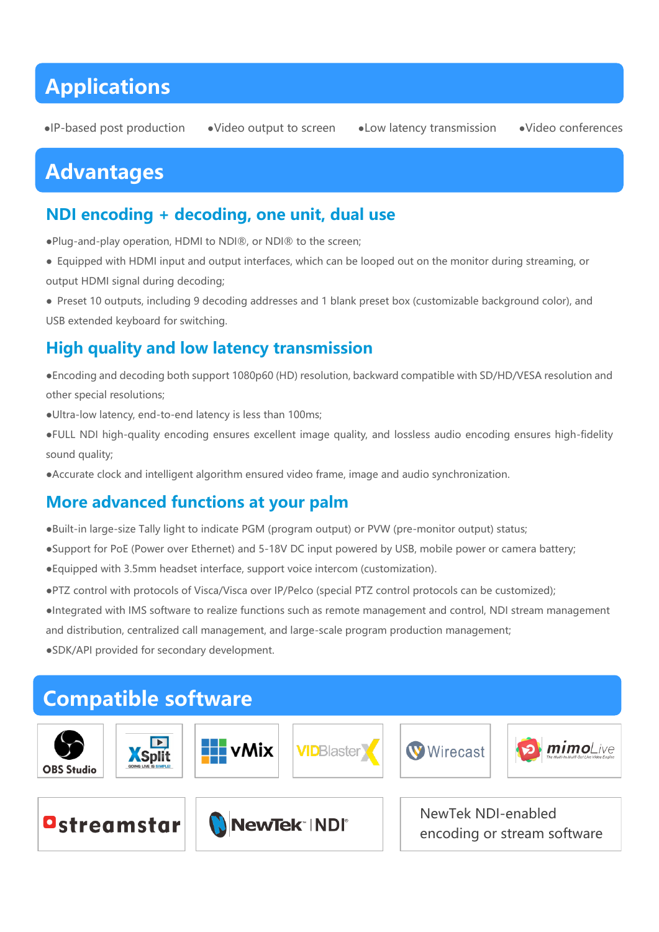## **Applications**

●IP-based post production ●Video output to screen ●Low latency transmission ●Video conferences

## **Advantages**

#### **NDI encoding + decoding, one unit, dual use**

●Plug-and-play operation, HDMI to NDI®, or NDI® to the screen;

- Equipped with HDMI input and output interfaces, which can be looped out on the monitor during streaming, or output HDMI signal during decoding;
- Preset 10 outputs, including 9 decoding addresses and 1 blank preset box (customizable background color), and USB extended keyboard for switching.

### **High quality and low latency transmission**

- ●Encoding and decoding both support 1080p60 (HD) resolution, backward compatible with SD/HD/VESA resolution and other special resolutions;
- ●Ultra-low latency, end-to-end latency is less than 100ms;
- ●FULL NDI high-quality encoding ensures excellent image quality, and lossless audio encoding ensures high-fidelity sound quality;
- ●Accurate clock and intelligent algorithm ensured video frame, image and audio synchronization.

#### **More advanced functions at your palm**

- ●Built-in large-size Tally light to indicate PGM (program output) or PVW (pre-monitor output) status;
- ●Support for PoE (Power over Ethernet) and 5-18V DC input powered by USB, mobile power or camera battery;
- ●Equipped with 3.5mm headset interface, support voice intercom (customization).
- ●PTZ control with protocols of Visca/Visca over IP/Pelco (special PTZ control protocols can be customized);

●Integrated with IMS software to realize functions such as remote management and control, NDI stream management

and distribution, centralized call management, and large-scale program production management;

●SDK/API provided for secondary development.

#### **Compatible software mimo**Live **EL** vMix **Wirecast VID**Blaster **X**Split **OBS Studio** NewTek NDI-enabled Ostreamstar NewTek NDI encoding or stream software